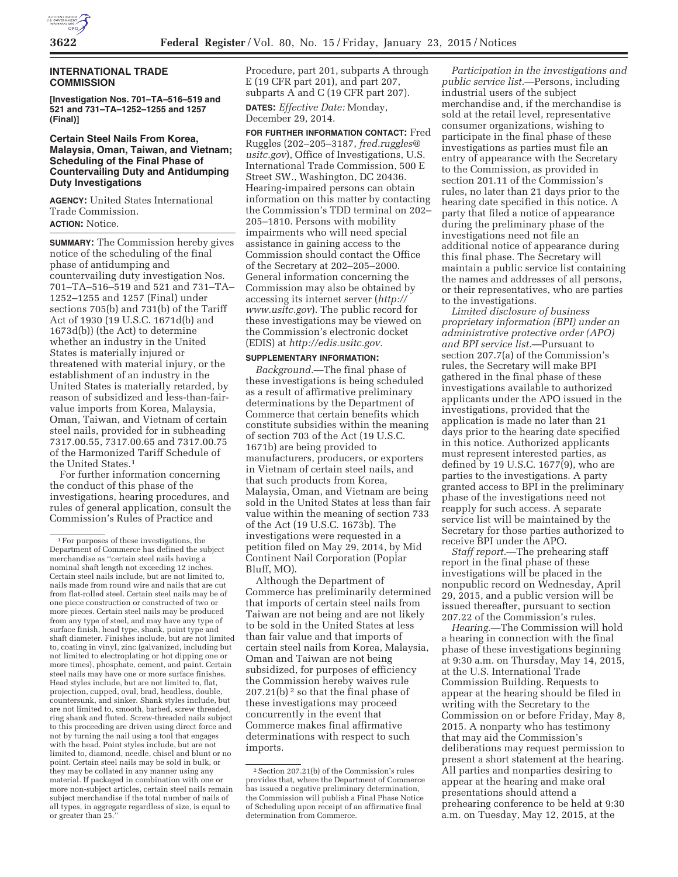

## **INTERNATIONAL TRADE COMMISSION**

**[Investigation Nos. 701–TA–516–519 and 521 and 731–TA–1252–1255 and 1257 (Final)]** 

## **Certain Steel Nails From Korea, Malaysia, Oman, Taiwan, and Vietnam; Scheduling of the Final Phase of Countervailing Duty and Antidumping Duty Investigations**

**AGENCY:** United States International Trade Commission. **ACTION:** Notice.

## **SUMMARY:** The Commission hereby gives notice of the scheduling of the final phase of antidumping and countervailing duty investigation Nos. 701–TA–516–519 and 521 and 731–TA– 1252–1255 and 1257 (Final) under sections 705(b) and 731(b) of the Tariff Act of 1930 (19 U.S.C. 1671d(b) and 1673d(b)) (the Act) to determine whether an industry in the United States is materially injured or threatened with material injury, or the establishment of an industry in the United States is materially retarded, by reason of subsidized and less-than-fairvalue imports from Korea, Malaysia, Oman, Taiwan, and Vietnam of certain steel nails, provided for in subheading 7317.00.55, 7317.00.65 and 7317.00.75 of the Harmonized Tariff Schedule of the United States.1

For further information concerning the conduct of this phase of the investigations, hearing procedures, and rules of general application, consult the Commission's Rules of Practice and

Procedure, part 201, subparts A through E (19 CFR part 201), and part 207, subparts A and C (19 CFR part 207).

**DATES:** *Effective Date:* Monday, December 29, 2014.

**FOR FURTHER INFORMATION CONTACT:** Fred Ruggles (202–205–3187, *fred.ruggles@ usitc.gov*), Office of Investigations, U.S. International Trade Commission, 500 E Street SW., Washington, DC 20436. Hearing-impaired persons can obtain information on this matter by contacting the Commission's TDD terminal on 202– 205–1810. Persons with mobility impairments who will need special assistance in gaining access to the Commission should contact the Office of the Secretary at 202–205–2000. General information concerning the Commission may also be obtained by accessing its internet server (*http:// www.usitc.gov*). The public record for these investigations may be viewed on the Commission's electronic docket (EDIS) at *http://edis.usitc.gov.* 

## **SUPPLEMENTARY INFORMATION:**

*Background.*—The final phase of these investigations is being scheduled as a result of affirmative preliminary determinations by the Department of Commerce that certain benefits which constitute subsidies within the meaning of section 703 of the Act (19 U.S.C. 1671b) are being provided to manufacturers, producers, or exporters in Vietnam of certain steel nails, and that such products from Korea, Malaysia, Oman, and Vietnam are being sold in the United States at less than fair value within the meaning of section 733 of the Act (19 U.S.C. 1673b). The investigations were requested in a petition filed on May 29, 2014, by Mid Continent Nail Corporation (Poplar Bluff, MO).

Although the Department of Commerce has preliminarily determined that imports of certain steel nails from Taiwan are not being and are not likely to be sold in the United States at less than fair value and that imports of certain steel nails from Korea, Malaysia, Oman and Taiwan are not being subsidized, for purposes of efficiency the Commission hereby waives rule  $207.21(b)<sup>2</sup>$  so that the final phase of these investigations may proceed concurrently in the event that Commerce makes final affirmative determinations with respect to such imports.

*Participation in the investigations and public service list.*—Persons, including industrial users of the subject merchandise and, if the merchandise is sold at the retail level, representative consumer organizations, wishing to participate in the final phase of these investigations as parties must file an entry of appearance with the Secretary to the Commission, as provided in section 201.11 of the Commission's rules, no later than 21 days prior to the hearing date specified in this notice. A party that filed a notice of appearance during the preliminary phase of the investigations need not file an additional notice of appearance during this final phase. The Secretary will maintain a public service list containing the names and addresses of all persons, or their representatives, who are parties to the investigations.

*Limited disclosure of business proprietary information (BPI) under an administrative protective order (APO) and BPI service list.*—Pursuant to section 207.7(a) of the Commission's rules, the Secretary will make BPI gathered in the final phase of these investigations available to authorized applicants under the APO issued in the investigations, provided that the application is made no later than 21 days prior to the hearing date specified in this notice. Authorized applicants must represent interested parties, as defined by 19 U.S.C.  $1677(9)$ , who are parties to the investigations. A party granted access to BPI in the preliminary phase of the investigations need not reapply for such access. A separate service list will be maintained by the Secretary for those parties authorized to receive BPI under the APO.

*Staff report.*—The prehearing staff report in the final phase of these investigations will be placed in the nonpublic record on Wednesday, April 29, 2015, and a public version will be issued thereafter, pursuant to section 207.22 of the Commission's rules.

*Hearing.*—The Commission will hold a hearing in connection with the final phase of these investigations beginning at 9:30 a.m. on Thursday, May 14, 2015, at the U.S. International Trade Commission Building. Requests to appear at the hearing should be filed in writing with the Secretary to the Commission on or before Friday, May 8, 2015. A nonparty who has testimony that may aid the Commission's deliberations may request permission to present a short statement at the hearing. All parties and nonparties desiring to appear at the hearing and make oral presentations should attend a prehearing conference to be held at 9:30 a.m. on Tuesday, May 12, 2015, at the

<sup>1</sup>For purposes of these investigations, the Department of Commerce has defined the subject merchandise as ''certain steel nails having a nominal shaft length not exceeding 12 inches. Certain steel nails include, but are not limited to, nails made from round wire and nails that are cut from flat-rolled steel. Certain steel nails may be of one piece construction or constructed of two or more pieces. Certain steel nails may be produced from any type of steel, and may have any type of surface finish, head type, shank, point type and shaft diameter. Finishes include, but are not limited to, coating in vinyl, zinc (galvanized, including but not limited to electroplating or hot dipping one or more times), phosphate, cement, and paint. Certain steel nails may have one or more surface finishes. Head styles include, but are not limited to, flat, projection, cupped, oval, brad, headless, double, countersunk, and sinker. Shank styles include, but are not limited to, smooth, barbed, screw threaded, ring shank and fluted. Screw-threaded nails subject to this proceeding are driven using direct force and not by turning the nail using a tool that engages with the head. Point styles include, but are not limited to, diamond, needle, chisel and blunt or no point. Certain steel nails may be sold in bulk, or they may be collated in any manner using any material. If packaged in combination with one or more non-subject articles, certain steel nails remain subject merchandise if the total number of nails of all types, in aggregate regardless of size, is equal to or greater than 25.

<sup>2</sup>Section 207.21(b) of the Commission's rules provides that, where the Department of Commerce has issued a negative preliminary determination, the Commission will publish a Final Phase Notice of Scheduling upon receipt of an affirmative final determination from Commerce.